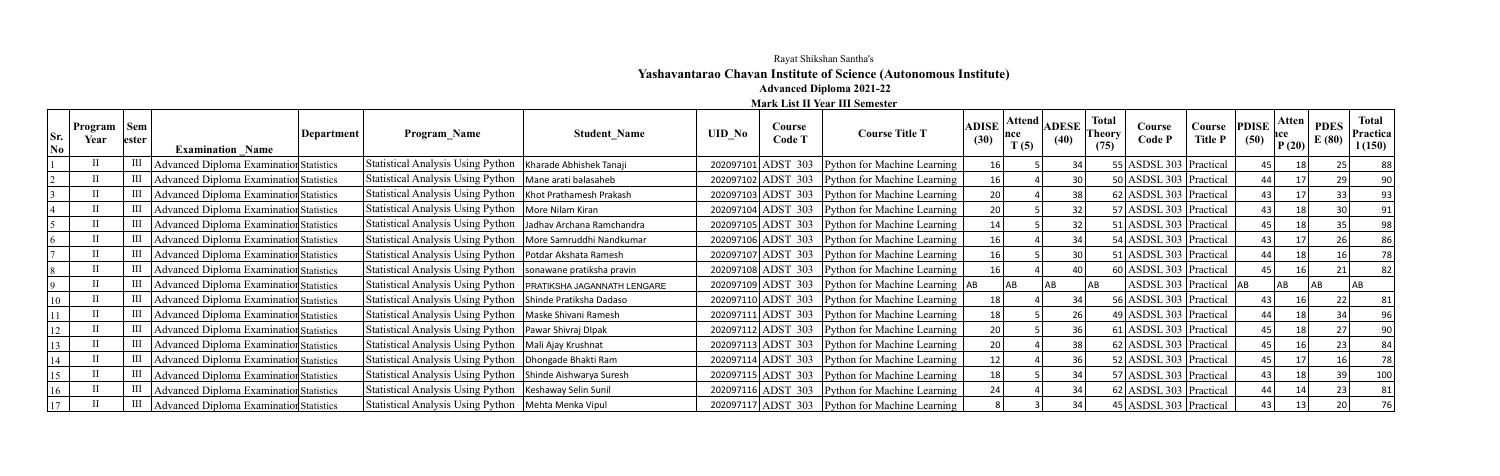## Rayat Shikshan Santha's **Yashavantarao Chavan Institute of Science (Autonomous Institute) Advanced Diploma 2021-22**

**Mark List II Year III Semester**

| Sr.<br>$\overline{\textbf{N}}$ 0 | Program   Sem  <br>Year | lester | <b>Examination Name</b>                 | Department | <b>Program Name</b>                                             | <b>Student Name</b> | <b>UID No</b> | Course<br>Code T | <b>Course Title T</b>                                 | <b>ADISE</b><br>(30) | Attend<br>mce<br>T(5) | <b>ADESE</b><br>(40) | <b>Total</b><br>Course<br><b>Theory</b><br>Code P<br>(75) | Course PDISE<br><b>Title P</b> | (50)            | Atten<br>nce<br>P(20) | <b>PDES</b><br>E(80) | <b>Total</b><br>Practica<br>1(150) |
|----------------------------------|-------------------------|--------|-----------------------------------------|------------|-----------------------------------------------------------------|---------------------|---------------|------------------|-------------------------------------------------------|----------------------|-----------------------|----------------------|-----------------------------------------------------------|--------------------------------|-----------------|-----------------------|----------------------|------------------------------------|
|                                  |                         |        | Advanced Diploma Examination Statistics |            | Statistical Analysis Using Python   Kharade Abhishek Tanaji     |                     |               |                  | 202097101 ADST 303 Python for Machine Learning        | 16                   |                       |                      | 55 ASDSL 303 Practical                                    |                                |                 |                       |                      |                                    |
|                                  |                         |        | Advanced Diploma Examination Statistics |            | Statistical Analysis Using Python   Mane arati balasaheb        |                     |               |                  | 202097102 ADST 303 Python for Machine Learning        |                      |                       |                      | 50 ASDSL 303 Practical                                    |                                |                 |                       |                      |                                    |
|                                  |                         |        | Advanced Diploma Examination Statistics |            | Statistical Analysis Using Python   Khot Prathamesh Prakash     |                     |               |                  | 202097103 ADST 303 Python for Machine Learning        | 20                   |                       | 38                   | 62 ASDSL 303 Practical                                    |                                | 43              |                       |                      |                                    |
|                                  |                         |        | Advanced Diploma Examination Statistics |            | Statistical Analysis Using Python   More Nilam Kiran            |                     |               |                  | 202097104 ADST 303 Python for Machine Learning        | 20                   |                       | 32                   | 57 ASDSL 303 Practical                                    |                                | 43              |                       |                      |                                    |
|                                  |                         |        | Advanced Diploma Examination Statistics |            | Statistical Analysis Using Python   Jadhav Archana Ramchandra   |                     |               |                  | 202097105 ADST 303 Python for Machine Learning        |                      |                       | 32                   | 51 ASDSL 303 Practical                                    |                                | 45              |                       |                      |                                    |
|                                  |                         |        | Advanced Diploma Examination Statistics |            | Statistical Analysis Using Python   More Samruddhi Nandkumar    |                     |               |                  | 202097106 ADST 303 Python for Machine Learning        |                      |                       |                      | 54 ASDSL 303 Practical                                    |                                | 431             |                       |                      | 86                                 |
|                                  |                         |        | Advanced Diploma Examination Statistics |            | Statistical Analysis Using Python   Potdar Akshata Ramesh       |                     |               |                  | 202097107 ADST 303 Python for Machine Learning        | 16                   |                       | 30                   | 51 ASDSL 303 Practical                                    |                                | 44              |                       |                      |                                    |
|                                  |                         |        | Advanced Diploma Examination Statistics |            | Statistical Analysis Using Python   sonawane pratiksha pravin   |                     |               |                  | 202097108 ADST 303 Python for Machine Learning        |                      |                       | 40                   | 60 ASDSL 303 Practical                                    |                                |                 |                       |                      |                                    |
|                                  |                         |        | Advanced Diploma Examination Statistics |            | Statistical Analysis Using Python   PRATIKSHA JAGANNATH LENGARE |                     |               |                  | $202097109$ ADST 303 Python for Machine Learning $AB$ |                      |                       |                      | ASDSL 303   Practical $ AB $<br>AB                        |                                |                 | AB                    | A <sub>B</sub>       |                                    |
|                                  |                         |        | Advanced Diploma Examination Statistics |            | Statistical Analysis Using Python Shinde Pratiksha Dadaso       |                     |               |                  | 202097110 ADST 303 Python for Machine Learning        | 18                   |                       |                      | 56 ASDSL 303 Practical                                    |                                | 43              |                       |                      |                                    |
|                                  |                         |        | Advanced Diploma Examination Statistics |            | Statistical Analysis Using Python   Maske Shivani Ramesh        |                     |               |                  | 202097111 ADST 303 Python for Machine Learning        |                      |                       | 26                   | 49 ASDSL 303   Practical                                  |                                |                 |                       |                      |                                    |
| <sup>12</sup>                    |                         |        | Advanced Diploma Examination Statistics |            | Statistical Analysis Using Python   Pawar Shivraj DIpak         |                     |               |                  | 202097112 ADST 303 Python for Machine Learning        | 20                   |                       | 36                   | 61 ASDSL 303 Practical                                    |                                |                 |                       |                      |                                    |
|                                  |                         |        | Advanced Diploma Examination Statistics |            | Statistical Analysis Using Python   Mali Ajay Krushnat          |                     |               |                  | 202097113 ADST 303 Python for Machine Learning        | 20                   |                       |                      | 62 ASDSL 303 Practical                                    |                                | 45              |                       |                      |                                    |
|                                  |                         |        | Advanced Diploma Examination Statistics |            | Statistical Analysis Using Python   Dhongade Bhakti Ram         |                     |               |                  | 202097114 ADST 303 Python for Machine Learning        | 12                   |                       | 36                   | 52 ASDSL 303 Practical                                    |                                | 45              |                       |                      | 78                                 |
|                                  |                         |        | Advanced Diploma Examination Statistics |            | Statistical Analysis Using Python   Shinde Aishwarya Suresh     |                     |               |                  | 202097115 ADST 303 Python for Machine Learning        | 18                   |                       | 34                   | 57 ASDSL 303 Practical                                    |                                | 43 <sub>1</sub> |                       |                      | 100                                |
|                                  |                         |        | Advanced Diploma Examination Statistics |            | Statistical Analysis Using Python   Keshaway Selin Sunil        |                     |               |                  | 202097116 ADST 303 Python for Machine Learning        | 24                   |                       |                      | 62 ASDSL 303 Practical                                    |                                |                 |                       |                      |                                    |
|                                  |                         |        | Advanced Diploma Examination Statistics |            | Statistical Analysis Using Python   Mehta Menka Vipul           |                     |               |                  | 202097117 ADST 303 Python for Machine Learning        |                      |                       |                      | 45 ASDSL 303 Practical                                    |                                |                 |                       |                      |                                    |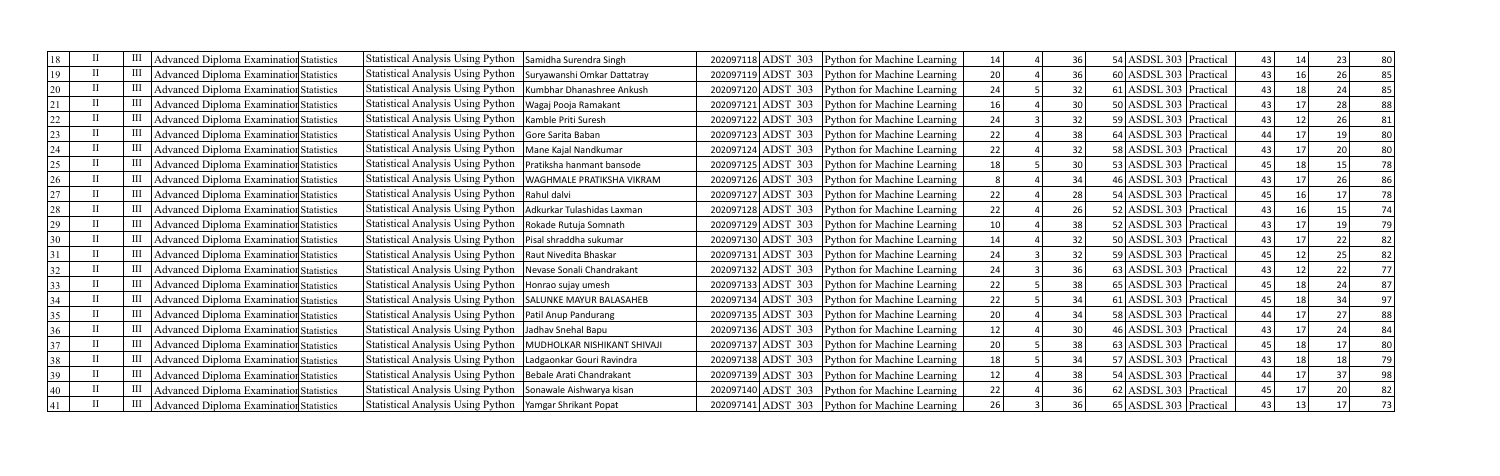| 18 |  | Advanced Diploma Examination Statistics        | Statistical Analysis Using Python                               | Samidha Surendra Singh      |  | 202097118 ADST 303 Python for Machine Learning   | 14 | 36 | 54 ASDSL 303 Practical     | 43 |  | 80 |
|----|--|------------------------------------------------|-----------------------------------------------------------------|-----------------------------|--|--------------------------------------------------|----|----|----------------------------|----|--|----|
| 19 |  | Advanced Diploma Examination Statistics        | Statistical Analysis Using Python   Suryawanshi Omkar Dattatray |                             |  | 202097119 ADST 303 Python for Machine Learning   | 20 | 36 | 60 ASDSL 303 Practical     | 43 |  | 85 |
|    |  | Advanced Diploma Examination Statistics        | Statistical Analysis Using Python                               | Kumbhar Dhanashree Ankush   |  | 202097120 ADST 303 Python for Machine Learning   | 24 | 32 | 61 ASDSL 303 Practical     | 43 |  | 85 |
|    |  | Advanced Diploma Examination Statistics        | Statistical Analysis Using Python                               | Wagaj Pooja Ramakant        |  | 202097121 ADST 303 Python for Machine Learning   | 16 | 30 | 50 ASDSL 303 Practical     | 43 |  | 88 |
| 22 |  | Advanced Diploma Examination Statistics        | <b>Statistical Analysis Using Python</b>                        | Kamble Priti Suresh         |  | 202097122 ADST 303 Python for Machine Learning   | 24 | 32 | 59 ASDSL 303 Practical     | 43 |  | 81 |
|    |  | Advanced Diploma Examination Statistics        | <b>Statistical Analysis Using Python</b>                        | Gore Sarita Baban           |  | 202097123 ADST 303 Python for Machine Learning   | 22 | 38 | 64 ASDSL 303 Practical     | 44 |  | 80 |
| 24 |  | <b>Advanced Diploma Examination Statistics</b> | Statistical Analysis Using Python                               | Mane Kajal Nandkumar        |  | 202097124 ADST 303 Python for Machine Learning   | 22 | 32 | 58 ASDSL 303 Practical     | 43 |  | 80 |
| 25 |  | Advanced Diploma Examination Statistics        | Statistical Analysis Using Python                               | Pratiksha hanmant bansode   |  | 202097125 ADST 303 Python for Machine Learning   | 18 | 30 | $53$ ASDSL 303 Practical   | 45 |  | 78 |
| 26 |  | Advanced Diploma Examination Statistics        | <b>Statistical Analysis Using Python</b>                        | WAGHMALE PRATIKSHA VIKRAM   |  | 202097126 ADST 303 Python for Machine Learning   |    | 34 | 46 ASDSL 303 Practical     | 43 |  | 86 |
|    |  | Advanced Diploma Examination Statistics        | Statistical Analysis Using Python                               | Rahul dalvi                 |  | 202097127 ADST 303 Python for Machine Learning   | 22 | 28 | 54 ASDSL 303 Practical     |    |  | 78 |
| 28 |  | Advanced Diploma Examination Statistics        | Statistical Analysis Using Python                               | Adkurkar Tulashidas Laxman  |  | 202097128 ADST 303 Python for Machine Learning   | 22 | 26 | 52 ASDSL 303 Practical     | 43 |  | 74 |
|    |  | Advanced Diploma Examination Statistics        | Statistical Analysis Using Python                               | Rokade Rutuja Somnath       |  | 202097129 ADST 303 Python for Machine Learning   | 10 | 38 | $52$ ASDSL 303   Practical | 43 |  | 79 |
|    |  | Advanced Diploma Examination Statistics        | Statistical Analysis Using Python                               | Pisal shraddha sukumar      |  | 202097130 ADST 303 Python for Machine Learning   | 14 | 32 | 50 ASDSL 303 Practical     | 43 |  | 82 |
|    |  | Advanced Diploma Examination Statistics        | Statistical Analysis Using Python                               | Raut Nivedita Bhaskar       |  | 202097131 ADST 303 Python for Machine Learning   | 24 | 32 | 59 ASDSL 303 Practical     | 45 |  | 82 |
|    |  | Advanced Diploma Examination Statistics        | Statistical Analysis Using Python                               | Nevase Sonali Chandrakant   |  | 202097132 ADST 303 Python for Machine Learning   | 24 | 36 | 63 ASDSL 303 Practical     | 43 |  | 77 |
|    |  | <b>Advanced Diploma Examination Statistics</b> | Statistical Analysis Using Python                               | Honrao sujay umesh          |  | $202097133$ ADST 303 Python for Machine Learning | 22 | 38 | 65 ASDSL 303 Practical     | 45 |  | 87 |
|    |  | Advanced Diploma Examination Statistics        | Statistical Analysis Using Python                               | SALUNKE MAYUR BALASAHEB     |  | 202097134 ADST 303 Python for Machine Learning   | 22 | 34 | 61 ASDSL 303 Practical     | 45 |  | 97 |
| 35 |  | Advanced Diploma Examination Statistics        | Statistical Analysis Using Python                               | Patil Anup Pandurang        |  | 202097135 ADST 303 Python for Machine Learning   | 20 | 34 | 58 ASDSL 303 Practical     | 44 |  | 88 |
|    |  | Advanced Diploma Examination Statistics        | Statistical Analysis Using Python                               | Jadhav Snehal Bapu          |  | 202097136 ADST 303 Python for Machine Learning   | 12 | 30 | 46 ASDSL 303 Practical     | 43 |  | 84 |
|    |  | Advanced Diploma Examination Statistics        | Statistical Analysis Using Python                               | MUDHOLKAR NISHIKANT SHIVAJI |  | 202097137 ADST 303 Python for Machine Learning   | 20 | 38 | 63 ASDSL 303 Practical     | 45 |  | 80 |
| 38 |  | Advanced Diploma Examination Statistics        | Statistical Analysis Using Python                               | Ladgaonkar Gouri Ravindra   |  | 202097138 ADST 303 Python for Machine Learning   | 18 | 34 | 57 ASDSL 303 Practical     | 43 |  | 79 |
|    |  | Advanced Diploma Examination Statistics        | Statistical Analysis Using Python                               | Bebale Arati Chandrakant    |  | 202097139 ADST 303 Python for Machine Learning   | 12 | 38 | 54 ASDSL 303 Practical     | 44 |  | 98 |
|    |  | Advanced Diploma Examination Statistics        | <b>Statistical Analysis Using Python</b>                        | Sonawale Aishwarya kisan    |  | 202097140 ADST 303 Python for Machine Learning   | 22 | 36 | 62 ASDSL 303 Practical     |    |  | 82 |
|    |  | Advanced Diploma Examination Statistics        | Statistical Analysis Using Python   Yamgar Shrikant Popat       |                             |  | 202097141 ADST 303 Python for Machine Learning   | 26 | 36 | 65 ASDSL 303 Practical     | 43 |  | 73 |